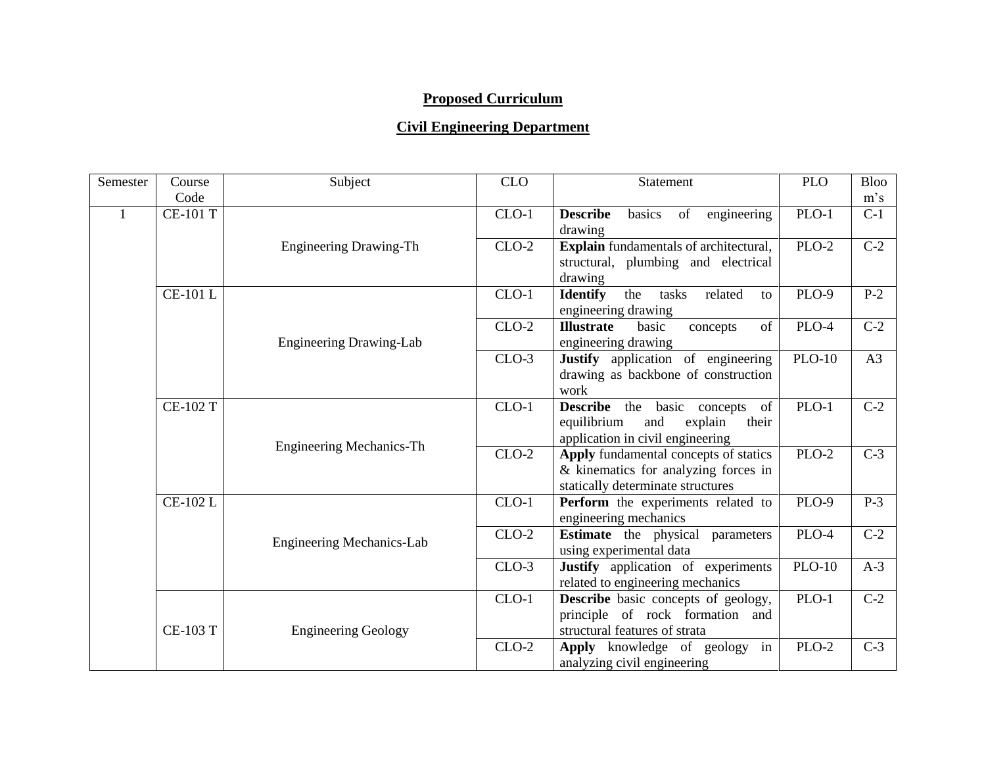## **Proposed Curriculum**

## **Civil Engineering Department**

| Semester | Course          | Subject                          | <b>CLO</b> | <b>Statement</b>                                                                                                    | <b>PLO</b>    | <b>Bloo</b> |
|----------|-----------------|----------------------------------|------------|---------------------------------------------------------------------------------------------------------------------|---------------|-------------|
|          | Code            |                                  |            |                                                                                                                     |               | $m$ 's      |
|          | <b>CE-101 T</b> |                                  | $CLO-1$    | <b>Describe</b><br>basics<br>of<br>engineering<br>drawing                                                           | $PLO-1$       | $C-1$       |
|          |                 | <b>Engineering Drawing-Th</b>    | $CLO-2$    | Explain fundamentals of architectural,<br>structural, plumbing and electrical<br>drawing                            | $PLO-2$       | $C-2$       |
|          | <b>CE-101 L</b> |                                  | $CLO-1$    | <b>Identify</b><br>the<br>tasks<br>related<br>to<br>engineering drawing                                             | PLO-9         | $P-2$       |
|          |                 | <b>Engineering Drawing-Lab</b>   | $CLO-2$    | of<br><b>Illustrate</b><br>basic<br>concepts<br>engineering drawing                                                 | PLO-4         | $C-2$       |
|          |                 |                                  | $CLO-3$    | Justify application of engineering<br>drawing as backbone of construction<br>work                                   | $PLO-10$      | A3          |
|          | <b>CE-102 T</b> | <b>Engineering Mechanics-Th</b>  | $CLO-1$    | <b>Describe</b> the basic concepts of<br>equilibrium<br>and<br>explain<br>their<br>application in civil engineering | $PLO-1$       | $C-2$       |
|          |                 |                                  | $CLO-2$    | Apply fundamental concepts of statics<br>& kinematics for analyzing forces in<br>statically determinate structures  | PLO-2         | $C-3$       |
|          | <b>CE-102 L</b> |                                  | $CLO-1$    | Perform the experiments related to<br>engineering mechanics                                                         | <b>PLO-9</b>  | $P-3$       |
|          |                 | <b>Engineering Mechanics-Lab</b> | $CLO-2$    | Estimate the physical parameters<br>using experimental data                                                         | PLO-4         | $C-2$       |
|          |                 |                                  | $CLO-3$    | Justify application of experiments<br>related to engineering mechanics                                              | <b>PLO-10</b> | $A-3$       |
|          | <b>CE-103 T</b> | <b>Engineering Geology</b>       | $CLO-1$    | <b>Describe</b> basic concepts of geology,<br>principle of rock formation and<br>structural features of strata      | $PLO-1$       | $C-2$       |
|          |                 |                                  | $CLO-2$    | Apply knowledge of geology<br>in<br>analyzing civil engineering                                                     | $PLO-2$       | $C-3$       |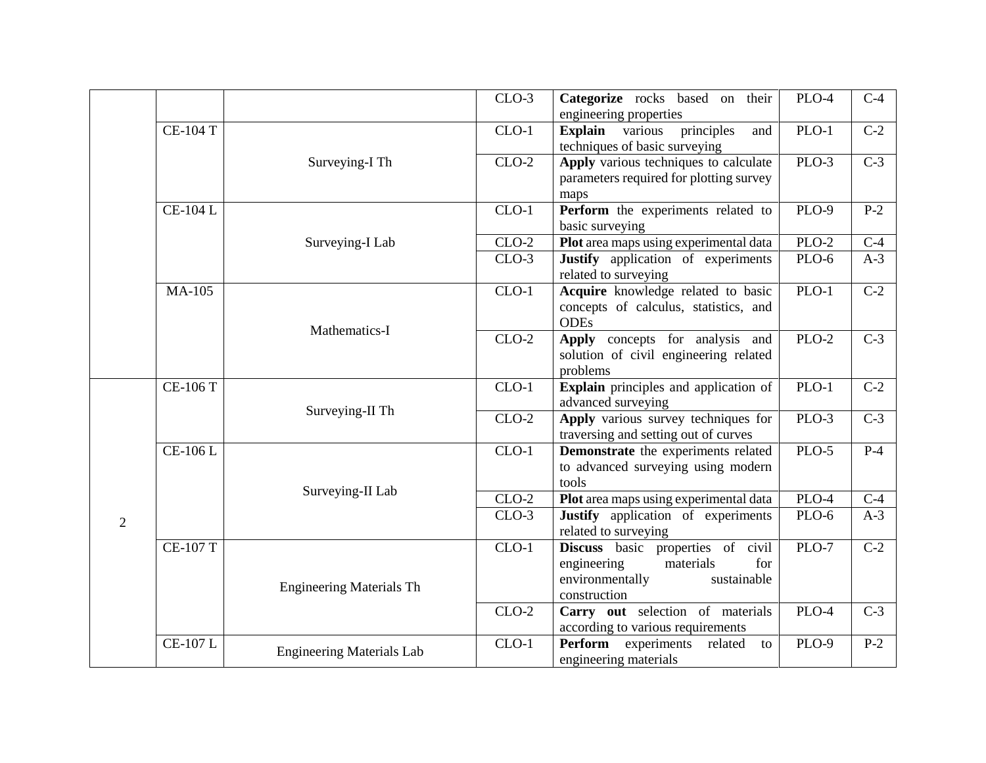|                |                 |                                  | $CLO-3$ | Categorize rocks based on their<br>engineering properties                                                              | PLO-4        | $C-4$            |
|----------------|-----------------|----------------------------------|---------|------------------------------------------------------------------------------------------------------------------------|--------------|------------------|
|                | $CE-104$ T      |                                  | $CLO-1$ | principles<br><b>Explain</b> various<br>and<br>techniques of basic surveying                                           | $PLO-1$      | $C-2$            |
|                |                 | Surveying-I Th                   | $CLO-2$ | Apply various techniques to calculate<br>parameters required for plotting survey<br>maps                               | $PLO-3$      | $\overline{C-3}$ |
|                | $CE-104L$       |                                  | $CLO-1$ | Perform the experiments related to<br>basic surveying                                                                  | PLO-9        | $P-2$            |
|                |                 | Surveying-I Lab                  | $CLO-2$ | Plot area maps using experimental data                                                                                 | $PLO-2$      | $C-4$            |
|                |                 |                                  | $CLO-3$ | Justify application of experiments<br>related to surveying                                                             | $PLO-6$      | $A-3$            |
|                | <b>MA-105</b>   | Mathematics-I                    | $CLO-1$ | Acquire knowledge related to basic<br>concepts of calculus, statistics, and<br><b>ODEs</b>                             | $PLO-1$      | $\overline{C-2}$ |
|                |                 |                                  | $CLO-2$ | Apply concepts for analysis and<br>solution of civil engineering related<br>problems                                   | $PLO-2$      | $\overline{C-3}$ |
|                | $CE-106T$       | Surveying-II Th                  | $CLO-1$ | <b>Explain</b> principles and application of<br>advanced surveying                                                     | $PLO-1$      | $\overline{C-2}$ |
|                |                 |                                  | $CLO-2$ | Apply various survey techniques for<br>traversing and setting out of curves                                            | $PLO-3$      | $C-3$            |
|                | CE-106 L        |                                  | $CLO-1$ | Demonstrate the experiments related<br>to advanced surveying using modern<br>tools                                     | $PLO-5$      | $P-4$            |
|                |                 | Surveying-II Lab                 | $CLO-2$ | Plot area maps using experimental data                                                                                 | $PLO-4$      | $C-4$            |
| $\overline{2}$ |                 |                                  | $CLO-3$ | Justify application of experiments<br>related to surveying                                                             | PLO-6        | $A-3$            |
|                | <b>CE-107 T</b> | <b>Engineering Materials Th</b>  | $CLO-1$ | Discuss basic properties of civil<br>engineering<br>materials<br>for<br>environmentally<br>sustainable<br>construction | $PLO-7$      | $\overline{C-2}$ |
|                |                 |                                  | $CLO-2$ | Carry out selection of materials<br>according to various requirements                                                  | PLO-4        | $\overline{C-3}$ |
|                | <b>CE-107 L</b> | <b>Engineering Materials Lab</b> | $CLO-1$ | Perform experiments related<br>to<br>engineering materials                                                             | <b>PLO-9</b> | $P-2$            |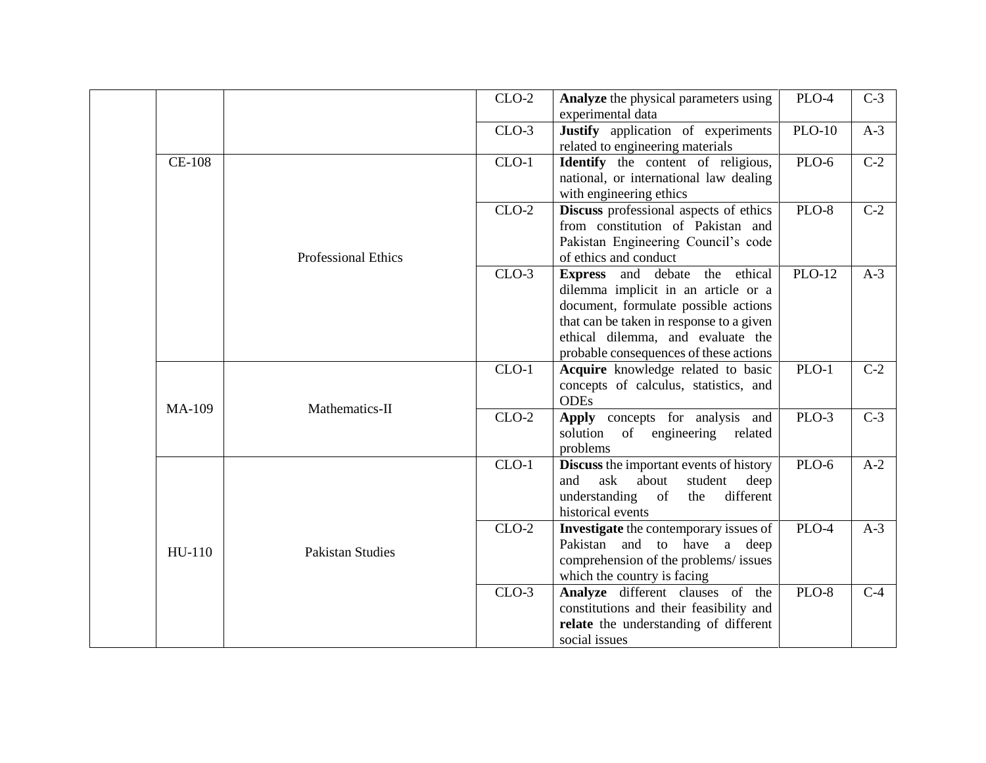|               |                            | $CLO-2$ | Analyze the physical parameters using<br>experimental data                                                                                                                                                                               | PLO-4         | $C-3$            |
|---------------|----------------------------|---------|------------------------------------------------------------------------------------------------------------------------------------------------------------------------------------------------------------------------------------------|---------------|------------------|
|               |                            | $CLO-3$ | Justify application of experiments<br>related to engineering materials                                                                                                                                                                   | <b>PLO-10</b> | $A-3$            |
| <b>CE-108</b> |                            | $CLO-1$ | Identify the content of religious,<br>national, or international law dealing<br>with engineering ethics                                                                                                                                  | <b>PLO-6</b>  | $\overline{C-2}$ |
|               | <b>Professional Ethics</b> | $CLO-2$ | Discuss professional aspects of ethics<br>from constitution of Pakistan and<br>Pakistan Engineering Council's code<br>of ethics and conduct                                                                                              | <b>PLO-8</b>  | $C-2$            |
|               |                            | $CLO-3$ | Express and debate the ethical<br>dilemma implicit in an article or a<br>document, formulate possible actions<br>that can be taken in response to a given<br>ethical dilemma, and evaluate the<br>probable consequences of these actions | <b>PLO-12</b> | $A-3$            |
| <b>MA-109</b> | Mathematics-II             | $CLO-1$ | Acquire knowledge related to basic<br>concepts of calculus, statistics, and<br><b>ODEs</b>                                                                                                                                               | $PLO-1$       | $C-2$            |
|               |                            | $CLO-2$ | Apply concepts for analysis and<br>solution<br>of<br>engineering related<br>problems                                                                                                                                                     | PLO-3         | $C-3$            |
|               |                            | $CLO-1$ | <b>Discuss</b> the important events of history<br>ask<br>and<br>about<br>student<br>deep<br>understanding of<br>the<br>different<br>historical events                                                                                    | PLO-6         | $A-2$            |
| HU-110        | <b>Pakistan Studies</b>    | $CLO-2$ | Investigate the contemporary issues of<br>Pakistan and to have a deep<br>comprehension of the problems/ issues<br>which the country is facing                                                                                            | PLO-4         | $A-3$            |
|               |                            | $CLO-3$ | Analyze different clauses of the<br>constitutions and their feasibility and<br>relate the understanding of different<br>social issues                                                                                                    | PLO-8         | $C-4$            |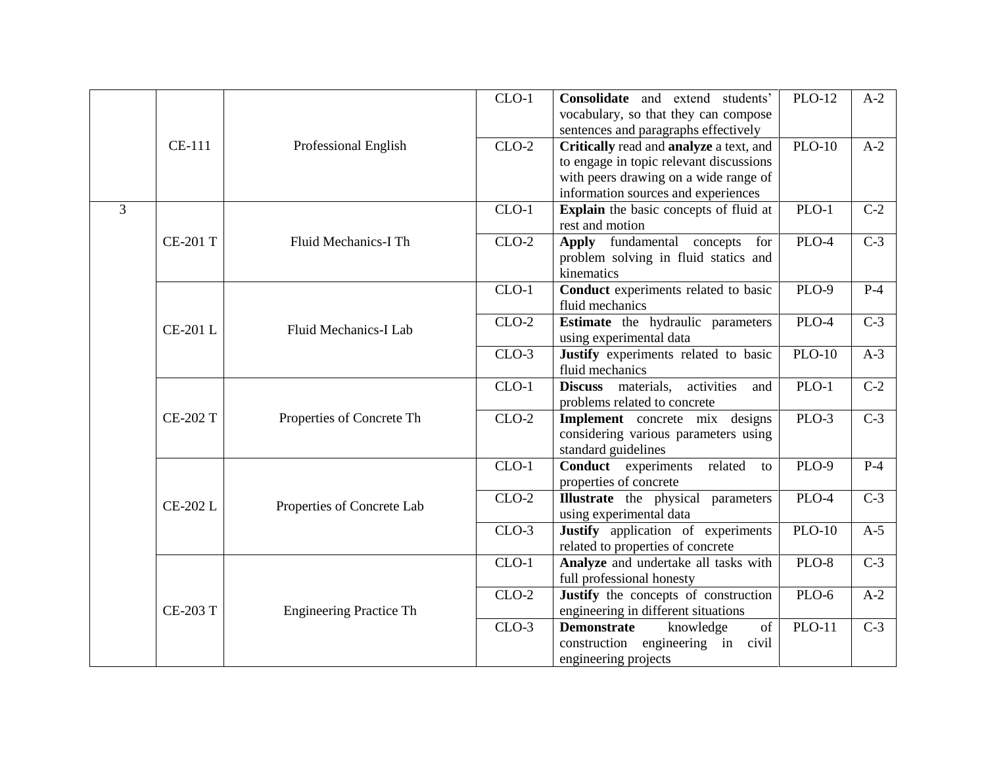|                |                 |                                | $CLO-1$ | Consolidate and extend students'<br>vocabulary, so that they can compose<br>sentences and paragraphs effectively                                                   | <b>PLO-12</b> | $A-2$            |
|----------------|-----------------|--------------------------------|---------|--------------------------------------------------------------------------------------------------------------------------------------------------------------------|---------------|------------------|
|                | CE-111          | Professional English           | $CLO-2$ | Critically read and analyze a text, and<br>to engage in topic relevant discussions<br>with peers drawing on a wide range of<br>information sources and experiences | <b>PLO-10</b> | $A-2$            |
| $\overline{3}$ |                 |                                | $CLO-1$ | Explain the basic concepts of fluid at<br>rest and motion                                                                                                          | $PLO-1$       | $C-2$            |
|                | <b>CE-201 T</b> | Fluid Mechanics-I Th           | $CLO-2$ | Apply fundamental concepts<br>for<br>problem solving in fluid statics and<br>kinematics                                                                            | $PLO-4$       | $\overline{C-3}$ |
|                |                 |                                | $CLO-1$ | Conduct experiments related to basic<br>fluid mechanics                                                                                                            | $PLO-9$       | $P-4$            |
|                | <b>CE-201 L</b> | Fluid Mechanics-I Lab          | $CLO-2$ | <b>Estimate</b> the hydraulic parameters<br>using experimental data                                                                                                | PLO-4         | $C-3$            |
|                |                 |                                | $CLO-3$ | Justify experiments related to basic<br>fluid mechanics                                                                                                            | <b>PLO-10</b> | $A-3$            |
|                |                 |                                | $CLO-1$ | Discuss materials, activities<br>and<br>problems related to concrete                                                                                               | PLO-1         | $C-2$            |
|                | <b>CE-202 T</b> | Properties of Concrete Th      | $CLO-2$ | Implement concrete mix designs<br>considering various parameters using<br>standard guidelines                                                                      | $PLO-3$       | $C-3$            |
|                |                 |                                | $CLO-1$ | <b>Conduct</b> experiments<br>related<br>to<br>properties of concrete                                                                                              | PLO-9         | $P-4$            |
|                | <b>CE-202 L</b> | Properties of Concrete Lab     | $CLO-2$ | <b>Illustrate</b> the physical parameters<br>using experimental data                                                                                               | PLO-4         | $C-3$            |
|                |                 |                                | $CLO-3$ | Justify application of experiments<br>related to properties of concrete                                                                                            | <b>PLO-10</b> | $A-5$            |
|                |                 |                                | $CLO-1$ | Analyze and undertake all tasks with<br>full professional honesty                                                                                                  | PLO-8         | $C-3$            |
|                | <b>CE-203 T</b> | <b>Engineering Practice Th</b> | $CLO-2$ | Justify the concepts of construction<br>engineering in different situations                                                                                        | PLO-6         | $A-2$            |
|                |                 |                                | $CLO-3$ | <b>Demonstrate</b><br>knowledge<br>of<br>construction engineering in civil<br>engineering projects                                                                 | <b>PLO-11</b> | $C-3$            |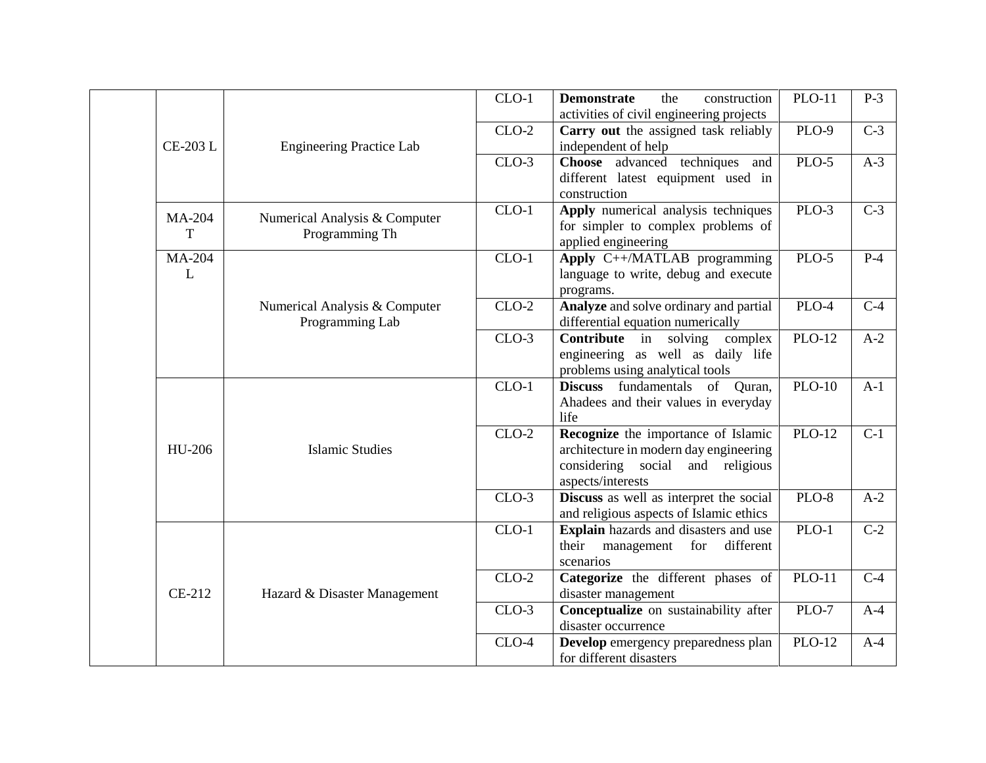|  |                    |                                                  | $CLO-1$ | <b>Demonstrate</b><br>construction<br>the<br>activities of civil engineering projects                                                  | <b>PLO-11</b>       | $P-3$            |
|--|--------------------|--------------------------------------------------|---------|----------------------------------------------------------------------------------------------------------------------------------------|---------------------|------------------|
|  | <b>CE-203 L</b>    | <b>Engineering Practice Lab</b>                  | $CLO-2$ | Carry out the assigned task reliably<br>independent of help                                                                            | PLO-9               | $C-3$            |
|  |                    |                                                  | $CLO-3$ | Choose advanced techniques and<br>different latest equipment used in<br>construction                                                   | $PLO-5$             | $A-3$            |
|  | <b>MA-204</b><br>T | Numerical Analysis & Computer<br>Programming Th  | $CLO-1$ | Apply numerical analysis techniques<br>for simpler to complex problems of<br>applied engineering                                       | $PLO-3$             | $\overline{C-3}$ |
|  | <b>MA-204</b><br>L |                                                  | $CLO-1$ | Apply C++/MATLAB programming<br>language to write, debug and execute<br>programs.                                                      | $PLO-5$             | $P-4$            |
|  |                    | Numerical Analysis & Computer<br>Programming Lab | $CLO-2$ | Analyze and solve ordinary and partial<br>differential equation numerically                                                            | PLO-4               | $C-4$            |
|  |                    |                                                  | $CLO-3$ | <b>Contribute</b> in solving complex<br>engineering as well as daily life<br>problems using analytical tools                           | <b>PLO-12</b>       | $A-2$            |
|  | HU-206             | <b>Islamic Studies</b>                           | $CLO-1$ | Discuss fundamentals of Quran,<br>Ahadees and their values in everyday<br>life                                                         | <b>PLO-10</b>       | $A-1$            |
|  |                    |                                                  | $CLO-2$ | Recognize the importance of Islamic<br>architecture in modern day engineering<br>considering social and religious<br>aspects/interests | $PLO-12$            | $\overline{C-1}$ |
|  |                    |                                                  | $CLO-3$ | Discuss as well as interpret the social<br>and religious aspects of Islamic ethics                                                     | $PLO-8$             | $A-2$            |
|  |                    |                                                  | $CLO-1$ | Explain hazards and disasters and use<br>their management<br>for<br>different<br>scenarios                                             | $PLO-1$             | $C-2$            |
|  | CE-212             | Hazard & Disaster Management                     | $CLO-2$ | Categorize the different phases of<br>disaster management                                                                              | <b>PLO-11</b>       | $C-4$            |
|  |                    |                                                  | $CLO-3$ | Conceptualize on sustainability after<br>disaster occurrence                                                                           | PLO-7               | $A-4$            |
|  |                    |                                                  | $CLO-4$ | Develop emergency preparedness plan<br>for different disasters                                                                         | $\overline{PLO-12}$ | $A-4$            |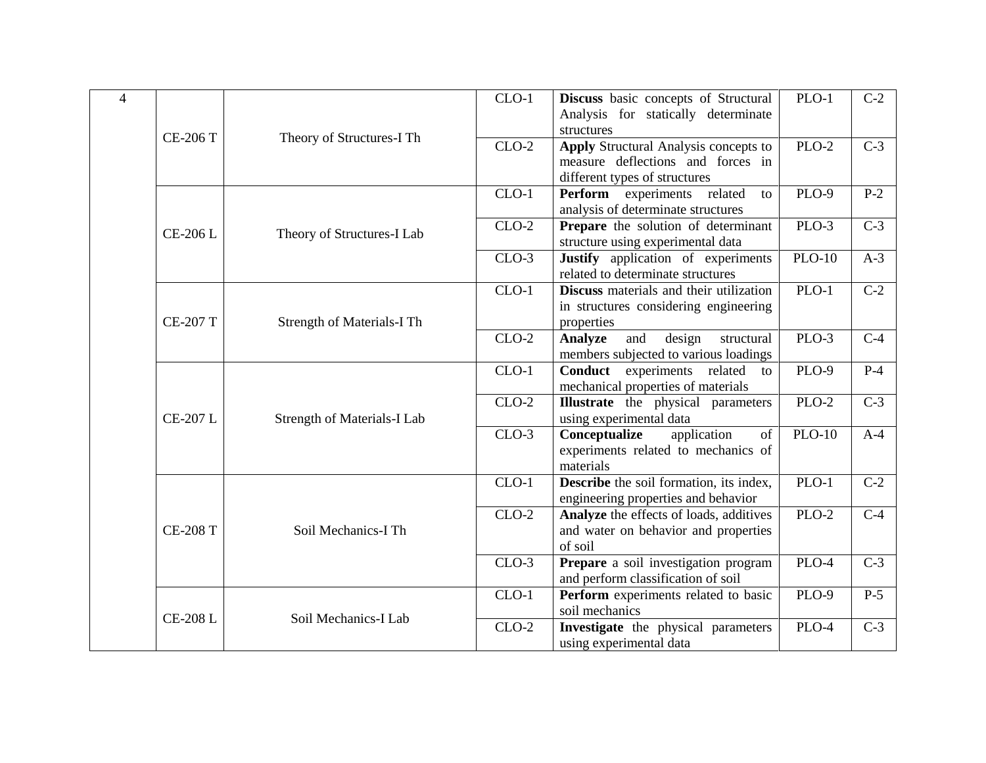| $\overline{\mathcal{L}}$ | <b>CE-206 T</b> | Theory of Structures-I Th   | $CLO-1$ | Discuss basic concepts of Structural<br>Analysis for statically determinate<br>structures                          | $PLO-1$       | $C-2$ |
|--------------------------|-----------------|-----------------------------|---------|--------------------------------------------------------------------------------------------------------------------|---------------|-------|
|                          |                 |                             | $CLO-2$ | <b>Apply Structural Analysis concepts to</b><br>measure deflections and forces in<br>different types of structures | PLO-2         | $C-3$ |
|                          | <b>CE-206 L</b> |                             | $CLO-1$ | Perform experiments related<br>to<br>analysis of determinate structures                                            | $PLO-9$       | $P-2$ |
|                          |                 | Theory of Structures-I Lab  | $CLO-2$ | Prepare the solution of determinant<br>structure using experimental data                                           | PLO-3         | $C-3$ |
|                          |                 |                             | $CLO-3$ | Justify application of experiments<br>related to determinate structures                                            | <b>PLO-10</b> | $A-3$ |
|                          | <b>CE-207 T</b> | Strength of Materials-I Th  | $CLO-1$ | Discuss materials and their utilization<br>in structures considering engineering<br>properties                     | $PLO-1$       | $C-2$ |
|                          |                 |                             | $CLO-2$ | <b>Analyze</b><br>and<br>design<br>structural<br>members subjected to various loadings                             | PLO-3         | $C-4$ |
|                          | <b>CE-207 L</b> | Strength of Materials-I Lab | $CLO-1$ | Conduct experiments related<br>to<br>mechanical properties of materials                                            | <b>PLO-9</b>  | $P-4$ |
|                          |                 |                             | $CLO-2$ | <b>Illustrate</b> the physical parameters<br>using experimental data                                               | $PLO-2$       | $C-3$ |
|                          |                 |                             | $CLO-3$ | application<br>Conceptualize<br>of<br>experiments related to mechanics of<br>materials                             | $PLO-10$      | $A-4$ |
|                          |                 |                             | $CLO-1$ | <b>Describe</b> the soil formation, its index,<br>engineering properties and behavior                              | $PLO-1$       | $C-2$ |
|                          | <b>CE-208 T</b> | Soil Mechanics-I Th         | $CLO-2$ | Analyze the effects of loads, additives<br>and water on behavior and properties<br>of soil                         | PLO-2         | $C-4$ |
|                          |                 |                             | $CLO-3$ | Prepare a soil investigation program<br>and perform classification of soil                                         | $PLO-4$       | $C-3$ |
|                          | <b>CE-208 L</b> | Soil Mechanics-I Lab        | $CLO-1$ | Perform experiments related to basic<br>soil mechanics                                                             | $PLO-9$       | $P-5$ |
|                          |                 |                             | $CLO-2$ | Investigate the physical parameters<br>using experimental data                                                     | PLO-4         | $C-3$ |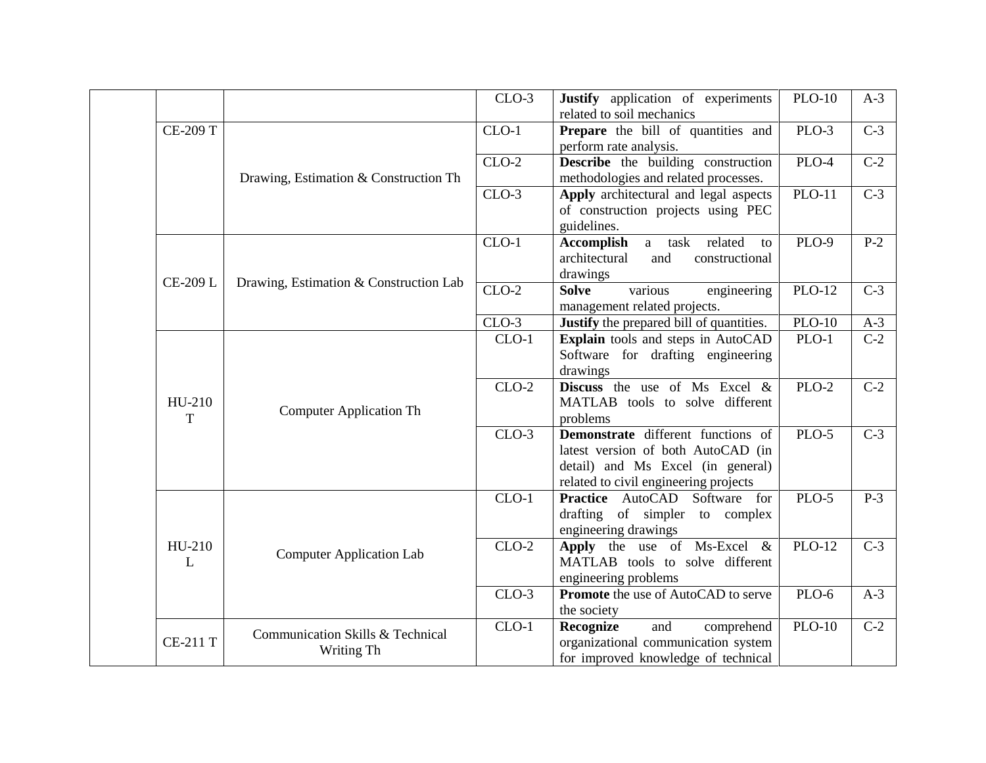|  |                 |                                                | $CLO-3$ | Justify application of experiments<br>related to soil mechanics                                                                                        | <b>PLO-10</b>      | $A-3$            |
|--|-----------------|------------------------------------------------|---------|--------------------------------------------------------------------------------------------------------------------------------------------------------|--------------------|------------------|
|  | <b>CE-209 T</b> |                                                | $CLO-1$ | Prepare the bill of quantities and<br>perform rate analysis.                                                                                           | PLO-3              | $C-3$            |
|  |                 | Drawing, Estimation & Construction Th          | $CLO-2$ | <b>Describe</b> the building construction<br>methodologies and related processes.                                                                      | $\overline{PLO-4}$ | $\overline{C-2}$ |
|  |                 |                                                | $CLO-3$ | Apply architectural and legal aspects<br>of construction projects using PEC<br>guidelines.                                                             | $PLO-11$           | $\overline{C-3}$ |
|  | <b>CE-209 L</b> | Drawing, Estimation & Construction Lab         | $CLO-1$ | related<br><b>Accomplish</b><br>a task<br>to<br>architectural<br>and<br>constructional<br>drawings                                                     | <b>PLO-9</b>       | $P-2$            |
|  |                 |                                                | $CLO-2$ | <b>Solve</b><br>various<br>engineering<br>management related projects.                                                                                 | <b>PLO-12</b>      | $C-3$            |
|  |                 |                                                | $CLO-3$ | Justify the prepared bill of quantities.                                                                                                               | <b>PLO-10</b>      | $A-3$            |
|  | HU-210<br>T     | <b>Computer Application Th</b>                 | $CLO-1$ | Explain tools and steps in AutoCAD<br>Software for drafting engineering<br>drawings                                                                    | $PLO-1$            | $C-2$            |
|  |                 |                                                | $CLO-2$ | <b>Discuss</b> the use of Ms Excel $\&$<br>MATLAB tools to solve different<br>problems                                                                 | PLO-2              | $C-2$            |
|  |                 |                                                | $CLO-3$ | Demonstrate different functions of<br>latest version of both AutoCAD (in<br>detail) and Ms Excel (in general)<br>related to civil engineering projects | $PLO-5$            | $\overline{C-3}$ |
|  |                 | <b>Computer Application Lab</b>                | $CLO-1$ | <b>Practice</b> AutoCAD Software for<br>drafting of simpler to complex<br>engineering drawings                                                         | PLO-5              | $P-3$            |
|  | HU-210<br>L     |                                                | $CLO-2$ | Apply the use of Ms-Excel $\&$<br>MATLAB tools to solve different<br>engineering problems                                                              | $PLO-12$           | $C-3$            |
|  |                 |                                                | $CLO-3$ | Promote the use of AutoCAD to serve<br>the society                                                                                                     | PLO-6              | $A-3$            |
|  | <b>CE-211 T</b> | Communication Skills & Technical<br>Writing Th | $CLO-1$ | and<br>Recognize<br>comprehend<br>organizational communication system<br>for improved knowledge of technical                                           | <b>PLO-10</b>      | $C-2$            |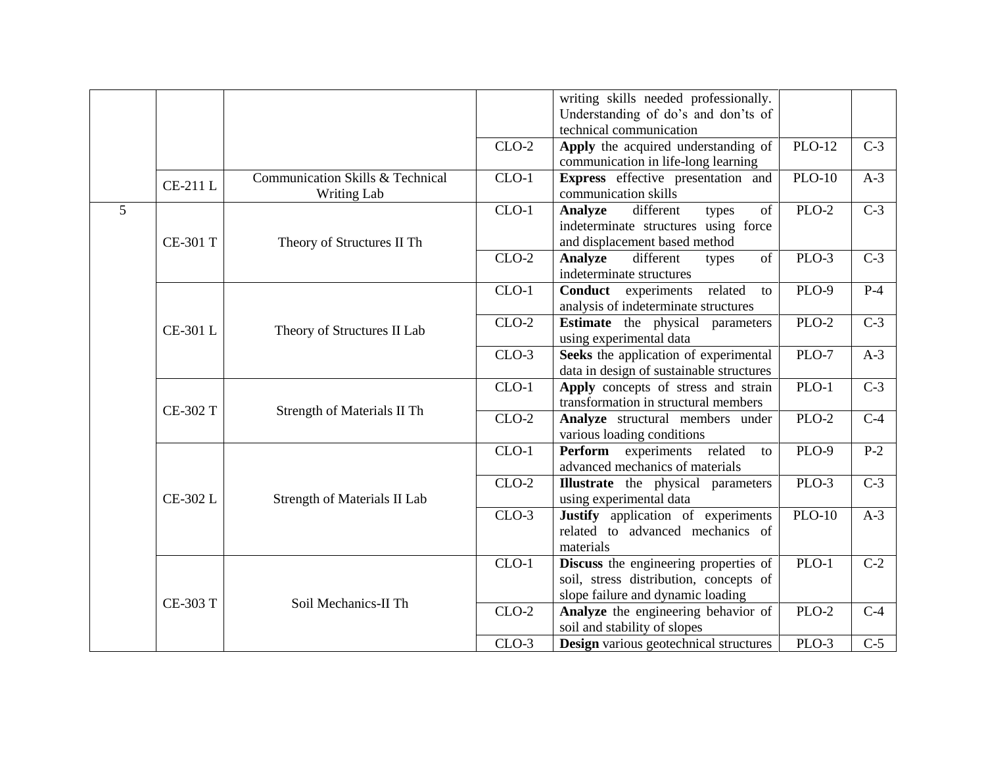|   |                 |                                                        |         | writing skills needed professionally.<br>Understanding of do's and don'ts of<br>technical communication              |               |                  |
|---|-----------------|--------------------------------------------------------|---------|----------------------------------------------------------------------------------------------------------------------|---------------|------------------|
|   |                 |                                                        | $CLO-2$ | Apply the acquired understanding of<br>communication in life-long learning                                           | <b>PLO-12</b> | $C-3$            |
|   | <b>CE-211L</b>  | Communication Skills & Technical<br><b>Writing Lab</b> | $CLO-1$ | Express effective presentation and<br>communication skills                                                           | $PLO-10$      | $A-3$            |
| 5 | <b>CE-301 T</b> | Theory of Structures II Th                             | $CLO-1$ | of<br>Analyze<br>different<br>types<br>indeterminate structures using force<br>and displacement based method         | PLO-2         | $C-3$            |
|   |                 |                                                        | $CLO-2$ | different<br>of<br><b>Analyze</b><br>types<br>indeterminate structures                                               | PLO-3         | $C-3$            |
|   | CE-301 L        | Theory of Structures II Lab                            | $CLO-1$ | related<br><b>Conduct</b> experiments<br>to<br>analysis of indeterminate structures                                  | <b>PLO-9</b>  | $P-4$            |
|   |                 |                                                        | $CLO-2$ | <b>Estimate</b> the physical parameters<br>using experimental data                                                   | PLO-2         | $C-3$            |
|   |                 |                                                        | $CLO-3$ | Seeks the application of experimental<br>data in design of sustainable structures                                    | PLO-7         | $A-3$            |
|   | <b>CE-302 T</b> | Strength of Materials II Th                            | $CLO-1$ | Apply concepts of stress and strain<br>transformation in structural members                                          | $PLO-1$       | $\overline{C-3}$ |
|   |                 |                                                        | $CLO-2$ | Analyze structural members under<br>various loading conditions                                                       | PLO-2         | $\overline{C-4}$ |
|   |                 |                                                        | $CLO-1$ | Perform experiments related<br>to<br>advanced mechanics of materials                                                 | PLO-9         | $P-2$            |
|   | CE-302 L        | <b>Strength of Materials II Lab</b>                    | $CLO-2$ | <b>Illustrate</b> the physical parameters<br>using experimental data                                                 | PLO-3         | $C-3$            |
|   |                 |                                                        | $CLO-3$ | <b>Justify</b> application of experiments<br>related to advanced mechanics of<br>materials                           | $PLO-10$      | $A-3$            |
|   | <b>CE-303 T</b> | Soil Mechanics-II Th                                   | $CLO-1$ | Discuss the engineering properties of<br>soil, stress distribution, concepts of<br>slope failure and dynamic loading | PLO-1         | $C-2$            |
|   |                 |                                                        | $CLO-2$ | Analyze the engineering behavior of<br>soil and stability of slopes                                                  | $PLO-2$       | $C-4$            |
|   |                 |                                                        | $CLO-3$ | <b>Design</b> various geotechnical structures                                                                        | PLO-3         | $\overline{C-5}$ |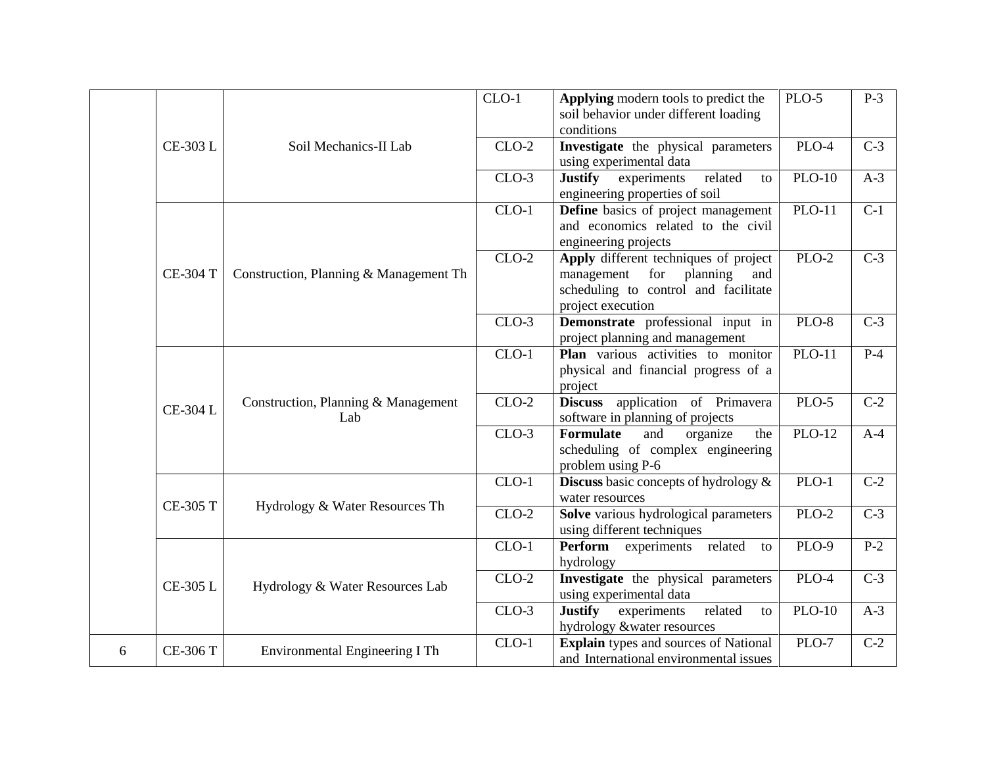|   |                 |                                            | $CLO-1$ | Applying modern tools to predict the<br>soil behavior under different loading<br>conditions                                                | PLO-5         | $P-3$            |
|---|-----------------|--------------------------------------------|---------|--------------------------------------------------------------------------------------------------------------------------------------------|---------------|------------------|
|   | CE-303 L        | Soil Mechanics-II Lab                      | $CLO-2$ | Investigate the physical parameters<br>using experimental data                                                                             | PLO-4         | $C-3$            |
|   |                 |                                            | $CLO-3$ | <b>Justify</b> experiments<br>related<br>to<br>engineering properties of soil                                                              | <b>PLO-10</b> | $A-3$            |
|   |                 |                                            | $CLO-1$ | Define basics of project management<br>and economics related to the civil<br>engineering projects                                          | $PLO-11$      | $\overline{C-1}$ |
|   | <b>CE-304 T</b> | Construction, Planning & Management Th     | $CLO-2$ | Apply different techniques of project<br>planning<br>management<br>for<br>and<br>scheduling to control and facilitate<br>project execution | PLO-2         | $C-3$            |
|   |                 |                                            | $CLO-3$ | Demonstrate professional input in<br>project planning and management                                                                       | $PLO-8$       | $C-3$            |
|   |                 | Construction, Planning & Management<br>Lab | $CLO-1$ | Plan various activities to monitor<br>physical and financial progress of a<br>project                                                      | $PLO-11$      | $P-4$            |
|   | CE-304 L        |                                            | $CLO-2$ | application of Primavera<br><b>Discuss</b><br>software in planning of projects                                                             | PLO-5         | $C-2$            |
|   |                 |                                            | $CLO-3$ | Formulate<br>organize<br>the<br>and<br>scheduling of complex engineering<br>problem using P-6                                              | $PLO-12$      | $A-4$            |
|   | <b>CE-305 T</b> | Hydrology & Water Resources Th             | $CLO-1$ | <b>Discuss</b> basic concepts of hydrology $\&$<br>water resources                                                                         | $PLO-1$       | $\overline{C-2}$ |
|   |                 |                                            | $CLO-2$ | Solve various hydrological parameters<br>using different techniques                                                                        | PLO-2         | $C-3$            |
|   |                 |                                            | $CLO-1$ | Perform<br>experiments related<br>to<br>hydrology                                                                                          | <b>PLO-9</b>  | $P-2$            |
|   | CE-305 L        | Hydrology & Water Resources Lab            | $CLO-2$ | Investigate the physical parameters<br>using experimental data                                                                             | $PLO-4$       | $\overline{C-3}$ |
|   |                 |                                            | $CLO-3$ | experiments<br><b>Justify</b><br>related<br>to<br>hydrology &water resources                                                               | $PLO-10$      | $A-3$            |
| 6 | <b>CE-306 T</b> | Environmental Engineering I Th             | $CLO-1$ | <b>Explain</b> types and sources of National<br>and International environmental issues                                                     | PLO-7         | $C-2$            |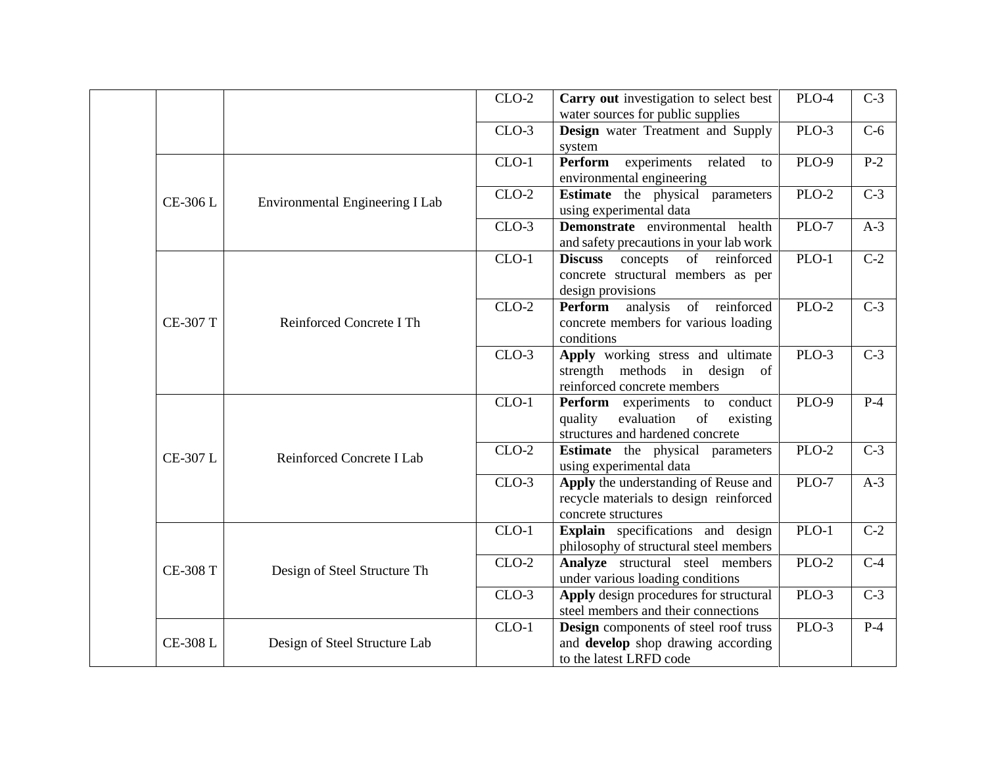|  |                 |                                 | $CLO-2$ | Carry out investigation to select best<br>water sources for public supplies                                             | PLO-4   | $C-3$            |
|--|-----------------|---------------------------------|---------|-------------------------------------------------------------------------------------------------------------------------|---------|------------------|
|  |                 |                                 | $CLO-3$ | <b>Design</b> water Treatment and Supply<br>system                                                                      | PLO-3   | $C-6$            |
|  |                 |                                 | $CLO-1$ | Perform<br>related<br>experiments<br>to<br>environmental engineering                                                    | PLO-9   | $P-2$            |
|  | CE-306 L        | Environmental Engineering I Lab | $CLO-2$ | <b>Estimate</b> the physical parameters<br>using experimental data                                                      | $PLO-2$ | $\overline{C-3}$ |
|  |                 |                                 | $CLO-3$ | Demonstrate environmental health<br>and safety precautions in your lab work                                             | PLO-7   | $A-3$            |
|  |                 |                                 | $CLO-1$ | concepts of reinforced<br><b>Discuss</b><br>concrete structural members as per<br>design provisions                     | $PLO-1$ | $\overline{C-2}$ |
|  | <b>CE-307 T</b> | Reinforced Concrete I Th        | $CLO-2$ | Perform<br>of reinforced<br>analysis<br>concrete members for various loading<br>conditions                              | $PLO-2$ | $C-3$            |
|  |                 |                                 | $CLO-3$ | Apply working stress and ultimate<br>strength methods in design of<br>reinforced concrete members                       | PLO-3   | $C-3$            |
|  | CE-307 L        | Reinforced Concrete I Lab       | $CLO-1$ | <b>Perform</b> experiments to<br>conduct<br>evaluation<br>of<br>quality<br>existing<br>structures and hardened concrete | PLO-9   | $P-4$            |
|  |                 |                                 | $CLO-2$ | <b>Estimate</b> the physical parameters<br>using experimental data                                                      | $PLO-2$ | $\overline{C-3}$ |
|  |                 |                                 | $CLO-3$ | Apply the understanding of Reuse and<br>recycle materials to design reinforced<br>concrete structures                   | PLO-7   | $A-3$            |
|  |                 |                                 | $CLO-1$ | Explain specifications and design<br>philosophy of structural steel members                                             | $PLO-1$ | $C-2$            |
|  | <b>CE-308 T</b> | Design of Steel Structure Th    | $CLO-2$ | Analyze structural steel members<br>under various loading conditions                                                    | PLO-2   | $C-4$            |
|  |                 |                                 | $CLO-3$ | Apply design procedures for structural<br>steel members and their connections                                           | $PLO-3$ | $C-3$            |
|  | <b>CE-308 L</b> | Design of Steel Structure Lab   | $CLO-1$ | Design components of steel roof truss<br>and develop shop drawing according<br>to the latest LRFD code                  | $PLO-3$ | $P-4$            |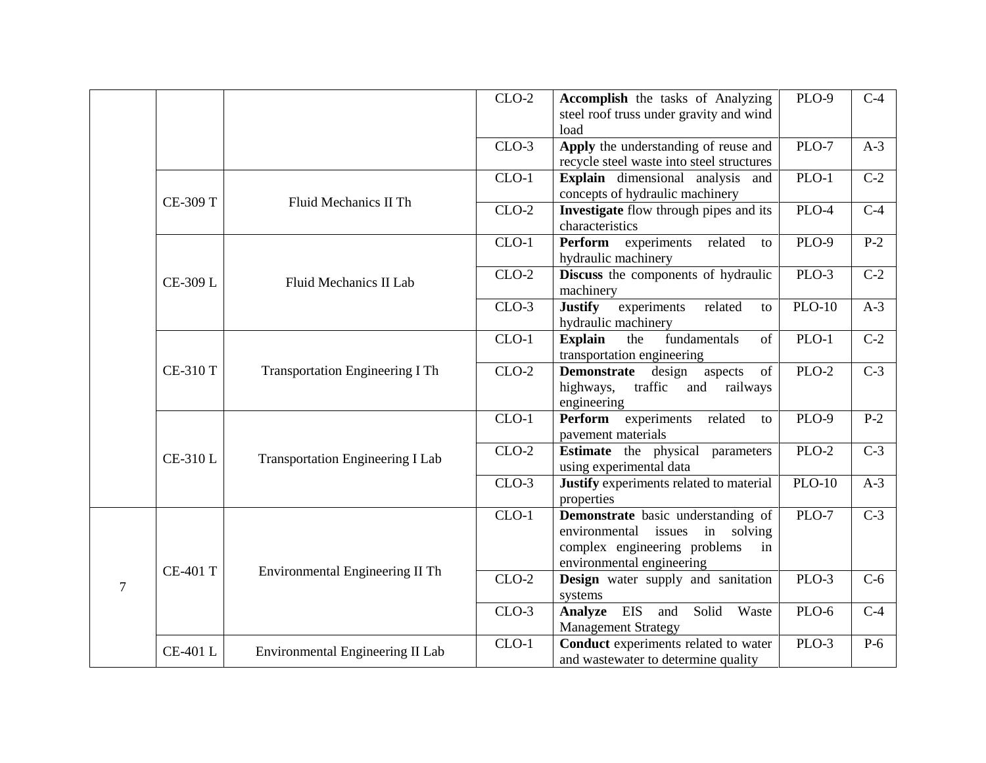|   |                 |                                         | $CLO-2$ | Accomplish the tasks of Analyzing<br>steel roof truss under gravity and wind<br>load                                                           | PLO-9              | $C-4$            |
|---|-----------------|-----------------------------------------|---------|------------------------------------------------------------------------------------------------------------------------------------------------|--------------------|------------------|
|   |                 |                                         | $CLO-3$ | Apply the understanding of reuse and<br>recycle steel waste into steel structures                                                              | PLO-7              | $A-3$            |
|   | <b>CE-309 T</b> |                                         | $CLO-1$ | Explain dimensional analysis and<br>concepts of hydraulic machinery                                                                            | $\overline{PLO-1}$ | $\overline{C-2}$ |
|   |                 | Fluid Mechanics II Th                   | $CLO-2$ | Investigate flow through pipes and its<br>characteristics                                                                                      | $PLO-4$            | $\overline{C-4}$ |
|   |                 |                                         | $CLO-1$ | <b>Perform</b> experiments<br>related<br>to<br>hydraulic machinery                                                                             | PLO-9              | $P-2$            |
|   | CE-309 L        | Fluid Mechanics II Lab                  | $CLO-2$ | Discuss the components of hydraulic<br>machinery                                                                                               | PLO-3              | $C-2$            |
|   |                 |                                         | $CLO-3$ | <b>Justify</b><br>experiments<br>related<br>to<br>hydraulic machinery                                                                          | $PLO-10$           | $A-3$            |
|   | <b>CE-310 T</b> | <b>Transportation Engineering I Th</b>  | $CLO-1$ | <b>Explain</b><br>fundamentals<br>the<br>of<br>transportation engineering                                                                      | $PLO-1$            | $C-2$            |
|   |                 |                                         | $CLO-2$ | Demonstrate design<br>aspects<br>of<br>highways,<br>traffic<br>and<br>railways<br>engineering                                                  | $PLO-2$            | $\overline{C-3}$ |
|   |                 | <b>Transportation Engineering I Lab</b> | $CLO-1$ | Perform<br>experiments<br>related<br>to<br>pavement materials                                                                                  | PLO-9              | $P-2$            |
|   | <b>CE-310 L</b> |                                         | $CLO-2$ | Estimate the physical parameters<br>using experimental data                                                                                    | $PLO-2$            | $C-3$            |
|   |                 |                                         | $CLO-3$ | Justify experiments related to material<br>properties                                                                                          | $PLO-10$           | $A-3$            |
| 7 | <b>CE-401 T</b> | Environmental Engineering II Th         | $CLO-1$ | Demonstrate basic understanding of<br>environmental<br>issues<br>in solving<br>complex engineering problems<br>in<br>environmental engineering | PLO-7              | $\overline{C-3}$ |
|   |                 |                                         | $CLO-2$ | Design water supply and sanitation<br>systems                                                                                                  | PLO-3              | $C-6$            |
|   |                 |                                         | $CLO-3$ | Solid Waste<br>Analyze EIS<br>and<br><b>Management Strategy</b>                                                                                | $PLO-6$            | $\overline{C-4}$ |
|   | <b>CE-401L</b>  | Environmental Engineering II Lab        | $CLO-1$ | Conduct experiments related to water<br>and wastewater to determine quality                                                                    | PLO-3              | $P-6$            |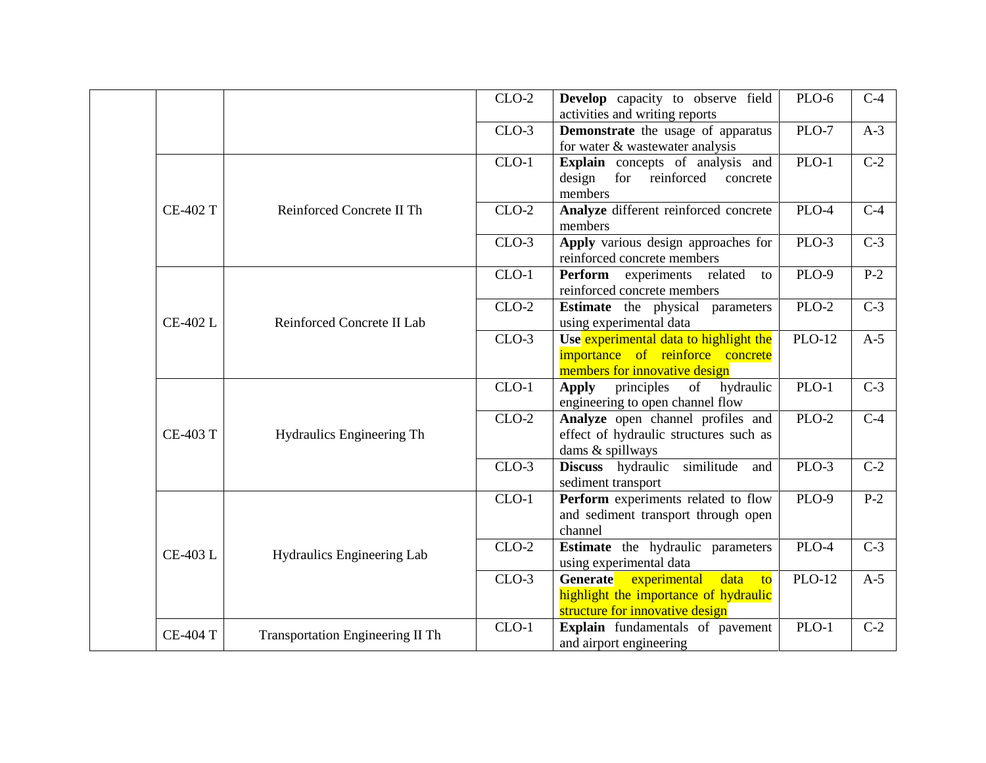|  |                 |                                         | $CLO-2$ | Develop capacity to observe field<br>activities and writing reports                                                                     | PLO-6         | $C-4$            |
|--|-----------------|-----------------------------------------|---------|-----------------------------------------------------------------------------------------------------------------------------------------|---------------|------------------|
|  |                 |                                         | $CLO-3$ | <b>Demonstrate</b> the usage of apparatus<br>for water & wastewater analysis                                                            | PLO-7         | $A-3$            |
|  |                 |                                         | $CLO-1$ | Explain concepts of analysis and<br>design<br>for<br>reinforced<br>concrete<br>members                                                  | $PLO-1$       | $\overline{C-2}$ |
|  | <b>CE-402 T</b> | Reinforced Concrete II Th               | $CLO-2$ | Analyze different reinforced concrete<br>members                                                                                        | PLO-4         | $C-4$            |
|  |                 |                                         | $CLO-3$ | Apply various design approaches for<br>reinforced concrete members                                                                      | PLO-3         | $C-3$            |
|  |                 |                                         | $CLO-1$ | Perform experiments related<br>to<br>reinforced concrete members                                                                        | PLO-9         | $P-2$            |
|  | CE-402 L        | Reinforced Concrete II Lab              | $CLO-2$ | <b>Estimate</b> the physical parameters<br>using experimental data                                                                      | PLO-2         | $C-3$            |
|  |                 |                                         | $CLO-3$ | Use experimental data to highlight the<br>importance of reinforce concrete<br>members for innovative design                             | <b>PLO-12</b> | $A-5$            |
|  |                 |                                         | $CLO-1$ | principles<br>of<br>hydraulic<br>Apply<br>engineering to open channel flow                                                              | $PLO-1$       | $\overline{C-3}$ |
|  | <b>CE-403 T</b> | Hydraulics Engineering Th               | $CLO-2$ | Analyze open channel profiles and<br>effect of hydraulic structures such as<br>dams & spillways                                         | $PLO-2$       | $C-4$            |
|  |                 |                                         | $CLO-3$ | Discuss hydraulic similitude<br>and<br>sediment transport                                                                               | PLO-3         | $C-2$            |
|  |                 |                                         | $CLO-1$ | Perform experiments related to flow<br>and sediment transport through open<br>channel                                                   | PLO-9         | $P-2$            |
|  | <b>CE-403 L</b> | Hydraulics Engineering Lab              | $CLO-2$ | <b>Estimate</b> the hydraulic parameters<br>using experimental data                                                                     | PLO-4         | $C-3$            |
|  |                 |                                         | $CLO-3$ | Generate<br>experimental<br>data<br>$\overline{\mathbf{t}}$<br>highlight the importance of hydraulic<br>structure for innovative design | <b>PLO-12</b> | $A-5$            |
|  | <b>CE-404 T</b> | <b>Transportation Engineering II Th</b> | $CLO-1$ | Explain fundamentals of pavement<br>and airport engineering                                                                             | $PLO-1$       | $C-2$            |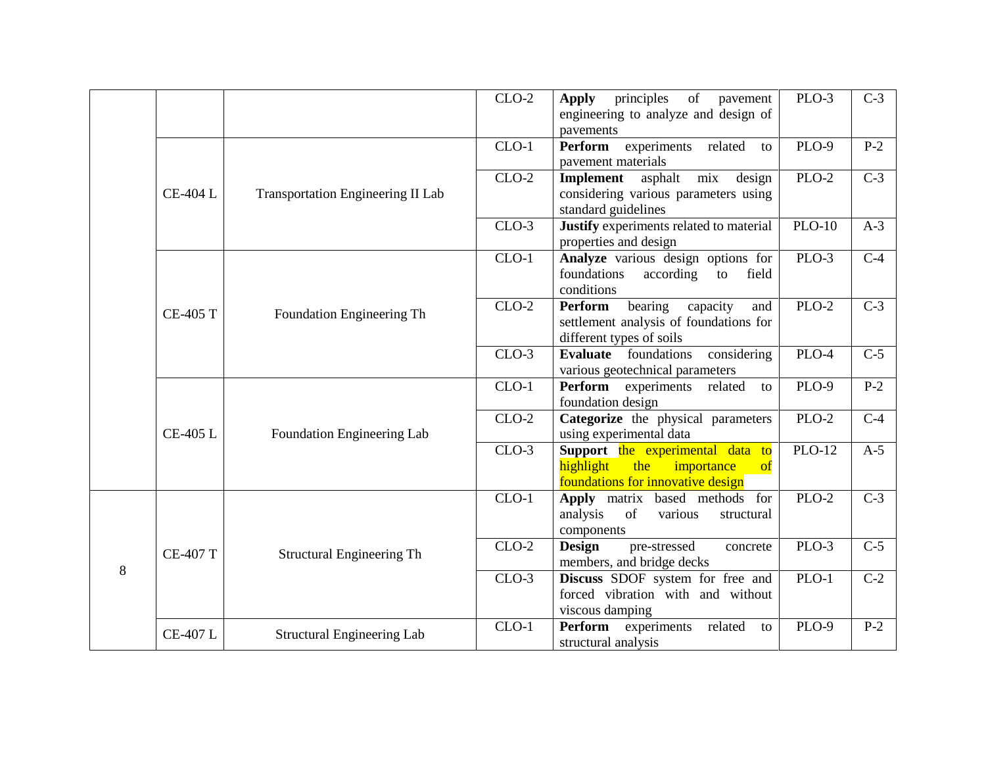|   |                 |                                          | $CLO-2$ | of<br>principles<br>pavement<br><b>Apply</b><br>engineering to analyze and design of<br>pavements                    | PLO-3               | $C-3$            |
|---|-----------------|------------------------------------------|---------|----------------------------------------------------------------------------------------------------------------------|---------------------|------------------|
|   | <b>CE-404 L</b> |                                          | $CLO-1$ | experiments<br>related<br>Perform<br>to<br>pavement materials                                                        | <b>PLO-9</b>        | $P-2$            |
|   |                 | <b>Transportation Engineering II Lab</b> | $CLO-2$ | mix<br>asphalt<br>design<br>Implement<br>considering various parameters using<br>standard guidelines                 | $PLO-2$             | $\overline{C-3}$ |
|   |                 |                                          | $CLO-3$ | Justify experiments related to material<br>properties and design                                                     | $\overline{PLO-10}$ | $A-3$            |
|   | <b>CE-405 T</b> |                                          | $CLO-1$ | Analyze various design options for<br>foundations<br>field<br>according<br>to<br>conditions                          | PLO-3               | $C-4$            |
|   |                 | Foundation Engineering Th                | $CLO-2$ | Perform<br>bearing<br>capacity<br>and<br>settlement analysis of foundations for<br>different types of soils          | $PLO-2$             | $\overline{C-3}$ |
|   |                 |                                          | $CLO-3$ | Evaluate foundations considering<br>various geotechnical parameters                                                  | PLO-4               | $C-5$            |
|   | <b>CE-405 L</b> | Foundation Engineering Lab               | $CLO-1$ | Perform experiments related<br>to<br>foundation design                                                               | <b>PLO-9</b>        | $P-2$            |
|   |                 |                                          | $CLO-2$ | Categorize the physical parameters<br>using experimental data                                                        | <b>PLO-2</b>        | $C-4$            |
|   |                 |                                          | $CLO-3$ | Support the experimental data to<br>highlight<br>the<br>importance<br>$\bf{of}$<br>foundations for innovative design | <b>PLO-12</b>       | $A-5$            |
| 8 | <b>CE-407 T</b> | <b>Structural Engineering Th</b>         | $CLO-1$ | Apply matrix based methods for<br>analysis<br>of<br>various<br>structural<br>components                              | PLO-2               | $C-3$            |
|   |                 |                                          | $CLO-2$ | <b>Design</b><br>pre-stressed<br>concrete<br>members, and bridge decks                                               | PLO-3               | $C-5$            |
|   |                 |                                          | $CLO-3$ | Discuss SDOF system for free and<br>forced vibration with and without<br>viscous damping                             | $PLO-1$             | $C-2$            |
|   | <b>CE-407 L</b> | <b>Structural Engineering Lab</b>        | $CLO-1$ | Perform experiments<br>related<br>to<br>structural analysis                                                          | PLO-9               | $P-2$            |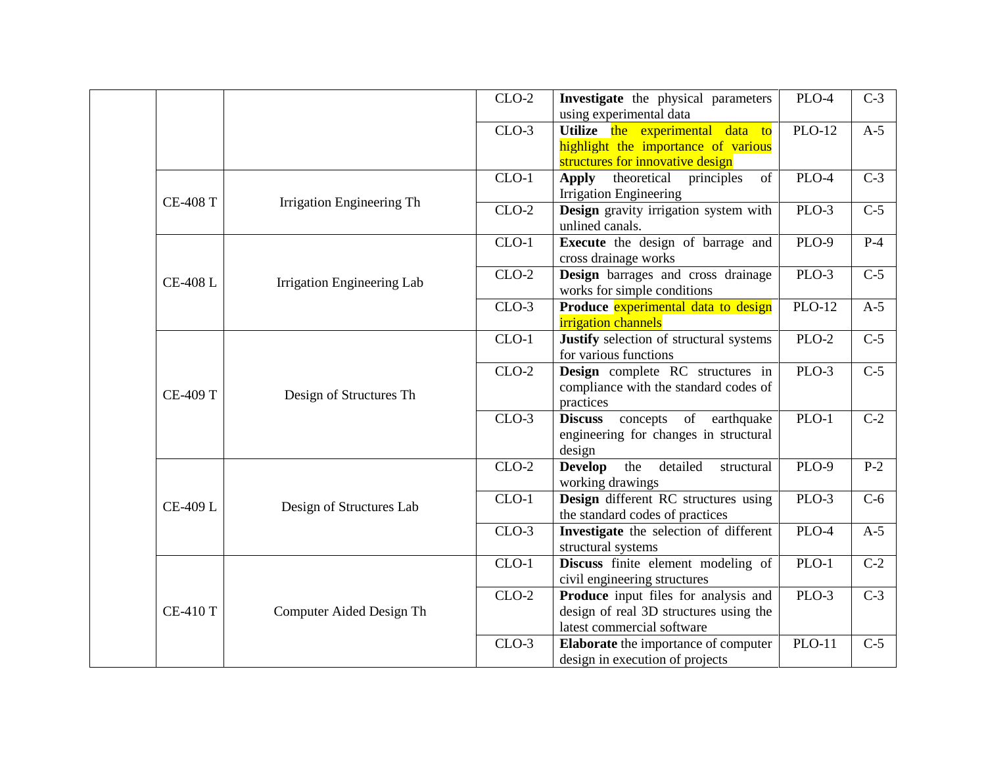|  |                 |                            | $CLO-2$ | Investigate the physical parameters<br>using experimental data                                               | PLO-4         | $C-3$            |
|--|-----------------|----------------------------|---------|--------------------------------------------------------------------------------------------------------------|---------------|------------------|
|  |                 |                            | $CLO-3$ | Utilize the experimental data to<br>highlight the importance of various<br>structures for innovative design  | <b>PLO-12</b> | $A-5$            |
|  | <b>CE-408 T</b> | Irrigation Engineering Th  | $CLO-1$ | theoretical<br>of<br>principles<br>Apply<br><b>Irrigation Engineering</b>                                    | PLO-4         | $C-3$            |
|  |                 |                            | $CLO-2$ | Design gravity irrigation system with<br>unlined canals.                                                     | $PLO-3$       | $\overline{C-5}$ |
|  | <b>CE-408 L</b> | Irrigation Engineering Lab | $CLO-1$ | <b>Execute</b> the design of barrage and<br>cross drainage works                                             | PLO-9         | $P-4$            |
|  |                 |                            | $CLO-2$ | Design barrages and cross drainage<br>works for simple conditions                                            | PLO-3         | $C-5$            |
|  |                 |                            | $CLO-3$ | Produce experimental data to design<br><i>irrigation</i> channels                                            | $PLO-12$      | $A-5$            |
|  | <b>CE-409 T</b> | Design of Structures Th    | $CLO-1$ | <b>Justify</b> selection of structural systems<br>for various functions                                      | $PLO-2$       | $C-5$            |
|  |                 |                            | $CLO-2$ | Design complete RC structures in<br>compliance with the standard codes of<br>practices                       | $PLO-3$       | $\overline{C-5}$ |
|  |                 |                            | $CLO-3$ | <b>Discuss</b><br>of earthquake<br>concepts<br>engineering for changes in structural<br>design               | $PLO-1$       | $\overline{C-2}$ |
|  | CE-409 L        | Design of Structures Lab   | $CLO-2$ | <b>Develop</b><br>the<br>detailed<br>structural<br>working drawings                                          | PLO-9         | $P-2$            |
|  |                 |                            | $CLO-1$ | Design different RC structures using<br>the standard codes of practices                                      | PLO-3         | $C-6$            |
|  |                 |                            | $CLO-3$ | Investigate the selection of different<br>structural systems                                                 | PLO-4         | $A-5$            |
|  | <b>CE-410 T</b> | Computer Aided Design Th   | $CLO-1$ | Discuss finite element modeling of<br>civil engineering structures                                           | $PLO-1$       | $C-2$            |
|  |                 |                            | $CLO-2$ | Produce input files for analysis and<br>design of real 3D structures using the<br>latest commercial software | PLO-3         | $C-3$            |
|  |                 |                            | $CLO-3$ | Elaborate the importance of computer<br>design in execution of projects                                      | $PLO-11$      | $C-5$            |